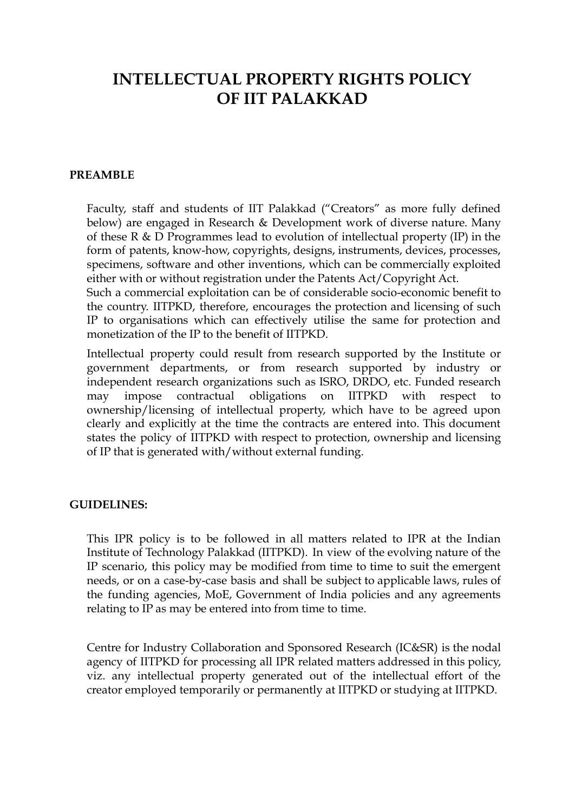# **INTELLECTUAL PROPERTY RIGHTS POLICY OF IIT PALAKKAD**

#### **PREAMBLE**

Faculty, staff and students of IIT Palakkad ("Creators" as more fully defined below) are engaged in Research & Development work of diverse nature. Many of these R & D Programmes lead to evolution of intellectual property (IP) in the form of patents, know-how, copyrights, designs, instruments, devices, processes, specimens, software and other inventions, which can be commercially exploited either with or without registration under the Patents Act/Copyright Act.

Such a commercial exploitation can be of considerable socio-economic benefit to the country. IITPKD, therefore, encourages the protection and licensing of such IP to organisations which can effectively utilise the same for protection and monetization of the IP to the benefit of IITPKD.

Intellectual property could result from research supported by the Institute or government departments, or from research supported by industry or independent research organizations such as ISRO, DRDO, etc. Funded research may impose contractual obligations on IITPKD with respect to ownership/licensing of intellectual property, which have to be agreed upon clearly and explicitly at the time the contracts are entered into. This document states the policy of IITPKD with respect to protection, ownership and licensing of IP that is generated with/without external funding.

#### **GUIDELINES:**

This IPR policy is to be followed in all matters related to IPR at the Indian Institute of Technology Palakkad (IITPKD). In view of the evolving nature of the IP scenario, this policy may be modified from time to time to suit the emergent needs, or on a case-by-case basis and shall be subject to applicable laws, rules of the funding agencies, MoE, Government of India policies and any agreements relating to IP as may be entered into from time to time.

Centre for Industry Collaboration and Sponsored Research (IC&SR) is the nodal agency of IITPKD for processing all IPR related matters addressed in this policy, viz. any intellectual property generated out of the intellectual effort of the creator employed temporarily or permanently at IITPKD or studying at IITPKD.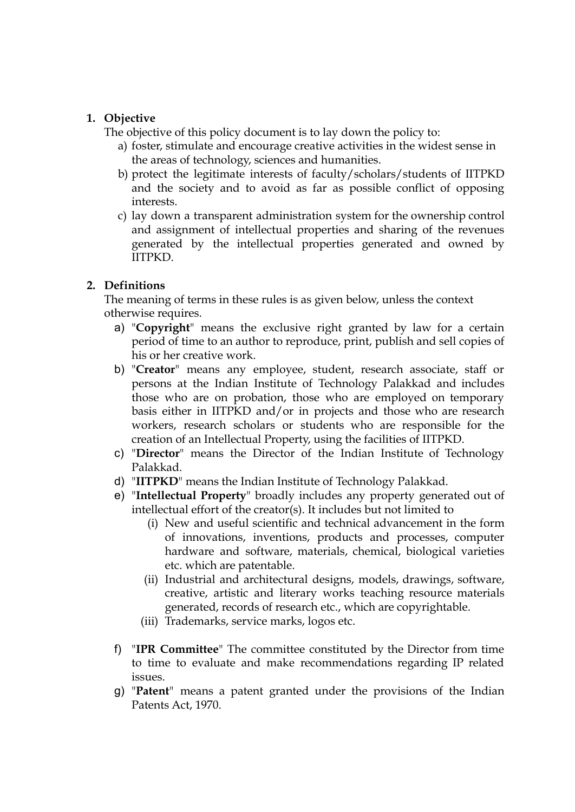## **1. Objective**

The objective of this policy document is to lay down the policy to:

- a) foster, stimulate and encourage creative activities in the widest sense in the areas of technology, sciences and humanities.
- b) protect the legitimate interests of faculty/scholars/students of IITPKD and the society and to avoid as far as possible conflict of opposing interests.
- c) lay down a transparent administration system for the ownership control and assignment of intellectual properties and sharing of the revenues generated by the intellectual properties generated and owned by IITPKD.

# **2. Definitions**

The meaning of terms in these rules is as given below, unless the context otherwise requires.

- a) "**Copyright**" means the exclusive right granted by law for a certain period of time to an author to reproduce, print, publish and sell copies of his or her creative work.
- b) "**Creator**" means any employee, student, research associate, staff or persons at the Indian Institute of Technology Palakkad and includes those who are on probation, those who are employed on temporary basis either in IITPKD and/or in projects and those who are research workers, research scholars or students who are responsible for the creation of an Intellectual Property, using the facilities of IITPKD.
- c) "**Director**" means the Director of the Indian Institute of Technology Palakkad.
- d) "**IITPKD**" means the Indian Institute of Technology Palakkad.
- e) "**Intellectual Property**" broadly includes any property generated out of intellectual effort of the creator(s). It includes but not limited to
	- (i) New and useful scientific and technical advancement in the form of innovations, inventions, products and processes, computer hardware and software, materials, chemical, biological varieties etc. which are patentable.
	- (ii) Industrial and architectural designs, models, drawings, software, creative, artistic and literary works teaching resource materials generated, records of research etc., which are copyrightable.
	- (iii) Trademarks, service marks, logos etc.
- f) "**IPR Committee**" The committee constituted by the Director from time to time to evaluate and make recommendations regarding IP related issues.
- g) "**Patent**" means a patent granted under the provisions of the Indian Patents Act, 1970.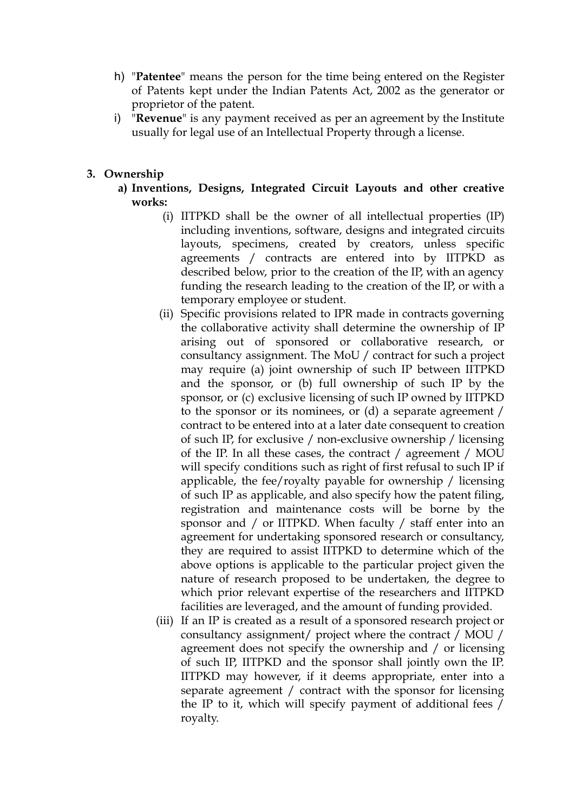- h) "**Patentee**" means the person for the time being entered on the Register of Patents kept under the Indian Patents Act, 2002 as the generator or proprietor of the patent.
- i) "**Revenue**" is any payment received as per an agreement by the Institute usually for legal use of an Intellectual Property through a license.

## **3. Ownership**

- **a) Inventions, Designs, Integrated Circuit Layouts and other creative works:**
	- (i) IITPKD shall be the owner of all intellectual properties (IP) including inventions, software, designs and integrated circuits layouts, specimens, created by creators, unless specific agreements / contracts are entered into by IITPKD as described below, prior to the creation of the IP, with an agency funding the research leading to the creation of the IP, or with a temporary employee or student.
	- (ii) Specific provisions related to IPR made in contracts governing the collaborative activity shall determine the ownership of IP arising out of sponsored or collaborative research, or consultancy assignment. The MoU / contract for such a project may require (a) joint ownership of such IP between IITPKD and the sponsor, or (b) full ownership of such IP by the sponsor, or (c) exclusive licensing of such IP owned by IITPKD to the sponsor or its nominees, or (d) a separate agreement / contract to be entered into at a later date consequent to creation of such IP, for exclusive / non-exclusive ownership / licensing of the IP. In all these cases, the contract / agreement / MOU will specify conditions such as right of first refusal to such IP if applicable, the fee/royalty payable for ownership / licensing of such IP as applicable, and also specify how the patent filing, registration and maintenance costs will be borne by the sponsor and / or IITPKD. When faculty / staff enter into an agreement for undertaking sponsored research or consultancy, they are required to assist IITPKD to determine which of the above options is applicable to the particular project given the nature of research proposed to be undertaken, the degree to which prior relevant expertise of the researchers and IITPKD facilities are leveraged, and the amount of funding provided.
	- (iii) If an IP is created as a result of a sponsored research project or consultancy assignment/ project where the contract / MOU / agreement does not specify the ownership and / or licensing of such IP, IITPKD and the sponsor shall jointly own the IP. IITPKD may however, if it deems appropriate, enter into a separate agreement / contract with the sponsor for licensing the IP to it, which will specify payment of additional fees / royalty.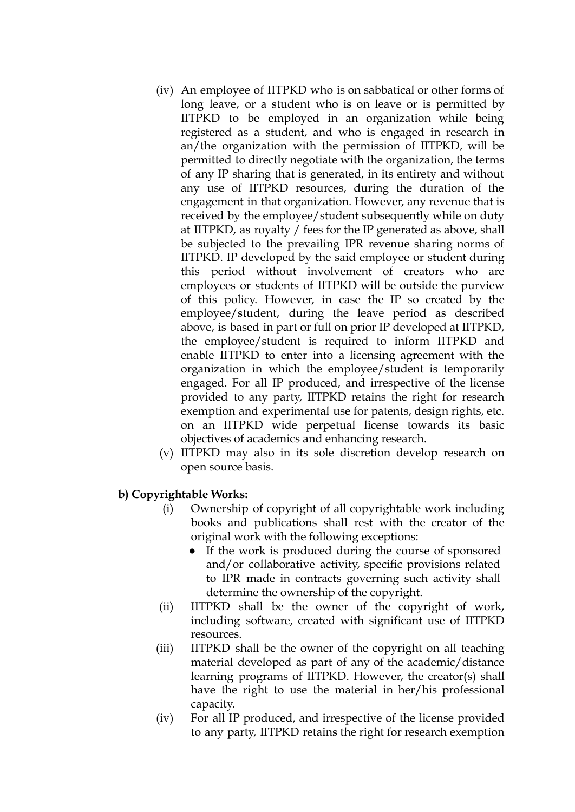- (iv) An employee of IITPKD who is on sabbatical or other forms of long leave, or a student who is on leave or is permitted by IITPKD to be employed in an organization while being registered as a student, and who is engaged in research in an/the organization with the permission of IITPKD, will be permitted to directly negotiate with the organization, the terms of any IP sharing that is generated, in its entirety and without any use of IITPKD resources, during the duration of the engagement in that organization. However, any revenue that is received by the employee/student subsequently while on duty at IITPKD, as royalty / fees for the IP generated as above, shall be subjected to the prevailing IPR revenue sharing norms of IITPKD. IP developed by the said employee or student during this period without involvement of creators who are employees or students of IITPKD will be outside the purview of this policy. However, in case the IP so created by the employee/student, during the leave period as described above, is based in part or full on prior IP developed at IITPKD, the employee/student is required to inform IITPKD and enable IITPKD to enter into a licensing agreement with the organization in which the employee/student is temporarily engaged. For all IP produced, and irrespective of the license provided to any party, IITPKD retains the right for research exemption and experimental use for patents, design rights, etc. on an IITPKD wide perpetual license towards its basic objectives of academics and enhancing research.
- (v) IITPKD may also in its sole discretion develop research on open source basis.

## **b) Copyrightable Works:**

- (i) Ownership of copyright of all copyrightable work including books and publications shall rest with the creator of the original work with the following exceptions:
	- If the work is produced during the course of sponsored and/or collaborative activity, specific provisions related to IPR made in contracts governing such activity shall determine the ownership of the copyright.
- (ii) IITPKD shall be the owner of the copyright of work, including software, created with significant use of IITPKD resources.
- (iii) IITPKD shall be the owner of the copyright on all teaching material developed as part of any of the academic/distance learning programs of IITPKD. However, the creator(s) shall have the right to use the material in her/his professional capacity.
- (iv) For all IP produced, and irrespective of the license provided to any party, IITPKD retains the right for research exemption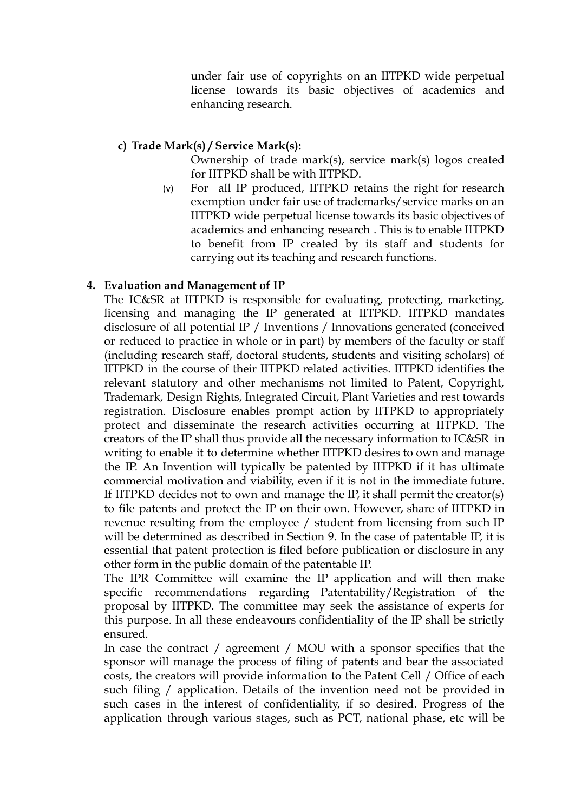under fair use of copyrights on an IITPKD wide perpetual license towards its basic objectives of academics and enhancing research.

## **c) Trade Mark(s) / Service Mark(s):**

Ownership of trade mark(s), service mark(s) logos created for IITPKD shall be with IITPKD.

(v) For all IP produced, IITPKD retains the right for research exemption under fair use of trademarks/service marks on an IITPKD wide perpetual license towards its basic objectives of academics and enhancing research . This is to enable IITPKD to benefit from IP created by its staff and students for carrying out its teaching and research functions.

# **4. Evaluation and Management of IP**

The IC&SR at IITPKD is responsible for evaluating, protecting, marketing, licensing and managing the IP generated at IITPKD. IITPKD mandates disclosure of all potential IP / Inventions / Innovations generated (conceived or reduced to practice in whole or in part) by members of the faculty or staff (including research staff, doctoral students, students and visiting scholars) of IITPKD in the course of their IITPKD related activities. IITPKD identifies the relevant statutory and other mechanisms not limited to Patent, Copyright, Trademark, Design Rights, Integrated Circuit, Plant Varieties and rest towards registration. Disclosure enables prompt action by IITPKD to appropriately protect and disseminate the research activities occurring at IITPKD. The creators of the IP shall thus provide all the necessary information to IC&SR in writing to enable it to determine whether IITPKD desires to own and manage the IP. An Invention will typically be patented by IITPKD if it has ultimate commercial motivation and viability, even if it is not in the immediate future. If IITPKD decides not to own and manage the IP, it shall permit the creator(s) to file patents and protect the IP on their own. However, share of IITPKD in revenue resulting from the employee / student from licensing from such IP will be determined as described in Section 9. In the case of patentable IP, it is essential that patent protection is filed before publication or disclosure in any other form in the public domain of the patentable IP.

The IPR Committee will examine the IP application and will then make specific recommendations regarding Patentability/Registration of the proposal by IITPKD. The committee may seek the assistance of experts for this purpose. In all these endeavours confidentiality of the IP shall be strictly ensured.

In case the contract / agreement / MOU with a sponsor specifies that the sponsor will manage the process of filing of patents and bear the associated costs, the creators will provide information to the Patent Cell / Office of each such filing / application. Details of the invention need not be provided in such cases in the interest of confidentiality, if so desired. Progress of the application through various stages, such as PCT, national phase, etc will be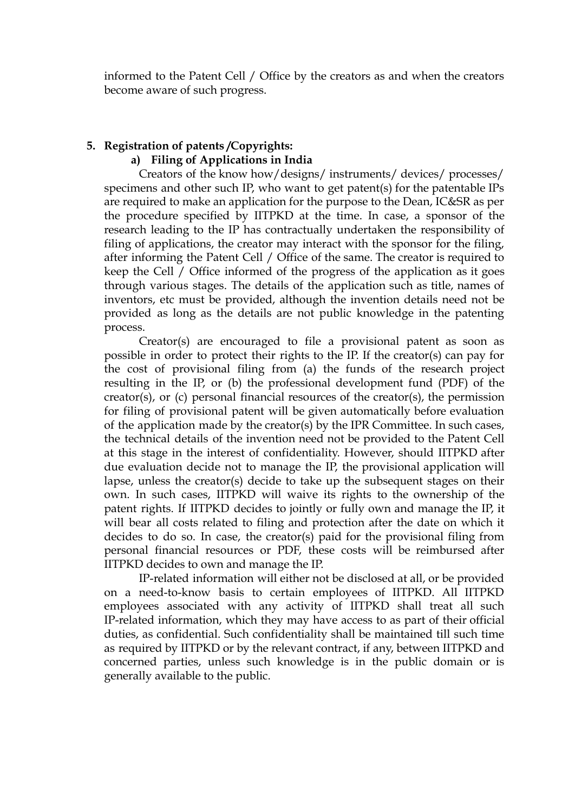informed to the Patent Cell / Office by the creators as and when the creators become aware of such progress.

# **5. Registration of patents /Copyrights:**

#### **a) Filing of Applications in India**

Creators of the know how/designs/ instruments/ devices/ processes/ specimens and other such IP, who want to get patent(s) for the patentable IPs are required to make an application for the purpose to the Dean, IC&SR as per the procedure specified by IITPKD at the time. In case, a sponsor of the research leading to the IP has contractually undertaken the responsibility of filing of applications, the creator may interact with the sponsor for the filing, after informing the Patent Cell / Office of the same. The creator is required to keep the Cell / Office informed of the progress of the application as it goes through various stages. The details of the application such as title, names of inventors, etc must be provided, although the invention details need not be provided as long as the details are not public knowledge in the patenting process.

Creator(s) are encouraged to file a provisional patent as soon as possible in order to protect their rights to the IP. If the creator(s) can pay for the cost of provisional filing from (a) the funds of the research project resulting in the IP, or (b) the professional development fund (PDF) of the creator(s), or (c) personal financial resources of the creator(s), the permission for filing of provisional patent will be given automatically before evaluation of the application made by the creator(s) by the IPR Committee. In such cases, the technical details of the invention need not be provided to the Patent Cell at this stage in the interest of confidentiality. However, should IITPKD after due evaluation decide not to manage the IP, the provisional application will lapse, unless the creator(s) decide to take up the subsequent stages on their own. In such cases, IITPKD will waive its rights to the ownership of the patent rights. If IITPKD decides to jointly or fully own and manage the IP, it will bear all costs related to filing and protection after the date on which it decides to do so. In case, the creator(s) paid for the provisional filing from personal financial resources or PDF, these costs will be reimbursed after IITPKD decides to own and manage the IP.

IP-related information will either not be disclosed at all, or be provided on a need-to-know basis to certain employees of IITPKD. All IITPKD employees associated with any activity of IITPKD shall treat all such IP-related information, which they may have access to as part of their official duties, as confidential. Such confidentiality shall be maintained till such time as required by IITPKD or by the relevant contract, if any, between IITPKD and concerned parties, unless such knowledge is in the public domain or is generally available to the public.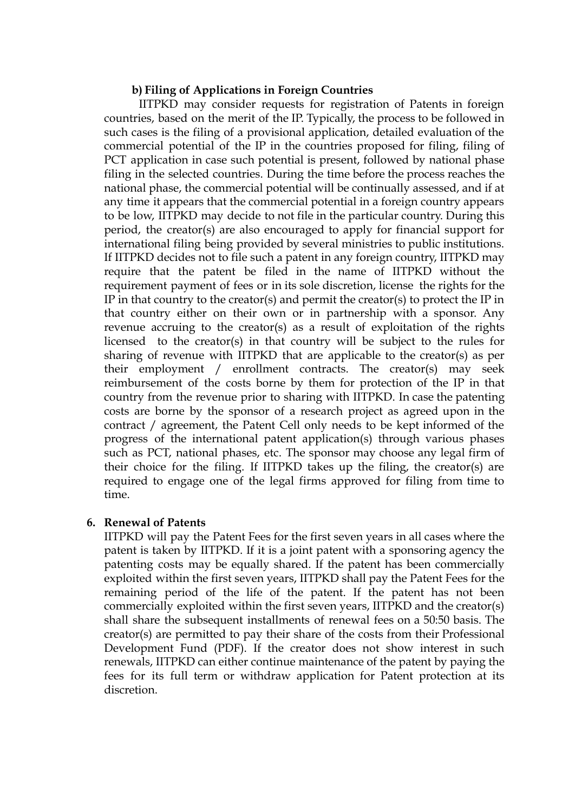#### **b) Filing of Applications in Foreign Countries**

IITPKD may consider requests for registration of Patents in foreign countries, based on the merit of the IP. Typically, the process to be followed in such cases is the filing of a provisional application, detailed evaluation of the commercial potential of the IP in the countries proposed for filing, filing of PCT application in case such potential is present, followed by national phase filing in the selected countries. During the time before the process reaches the national phase, the commercial potential will be continually assessed, and if at any time it appears that the commercial potential in a foreign country appears to be low, IITPKD may decide to not file in the particular country. During this period, the creator(s) are also encouraged to apply for financial support for international filing being provided by several ministries to public institutions. If IITPKD decides not to file such a patent in any foreign country, IITPKD may require that the patent be filed in the name of IITPKD without the requirement payment of fees or in its sole discretion, license the rights for the IP in that country to the creator(s) and permit the creator(s) to protect the IP in that country either on their own or in partnership with a sponsor. Any revenue accruing to the creator(s) as a result of exploitation of the rights licensed to the creator(s) in that country will be subject to the rules for sharing of revenue with IITPKD that are applicable to the creator(s) as per their employment / enrollment contracts. The creator(s) may seek reimbursement of the costs borne by them for protection of the IP in that country from the revenue prior to sharing with IITPKD. In case the patenting costs are borne by the sponsor of a research project as agreed upon in the contract / agreement, the Patent Cell only needs to be kept informed of the progress of the international patent application(s) through various phases such as PCT, national phases, etc. The sponsor may choose any legal firm of their choice for the filing. If IITPKD takes up the filing, the creator(s) are required to engage one of the legal firms approved for filing from time to time.

#### **6. Renewal of Patents**

IITPKD will pay the Patent Fees for the first seven years in all cases where the patent is taken by IITPKD. If it is a joint patent with a sponsoring agency the patenting costs may be equally shared. If the patent has been commercially exploited within the first seven years, IITPKD shall pay the Patent Fees for the remaining period of the life of the patent. If the patent has not been commercially exploited within the first seven years, IITPKD and the creator(s) shall share the subsequent installments of renewal fees on a 50:50 basis. The creator(s) are permitted to pay their share of the costs from their Professional Development Fund (PDF). If the creator does not show interest in such renewals, IITPKD can either continue maintenance of the patent by paying the fees for its full term or withdraw application for Patent protection at its discretion.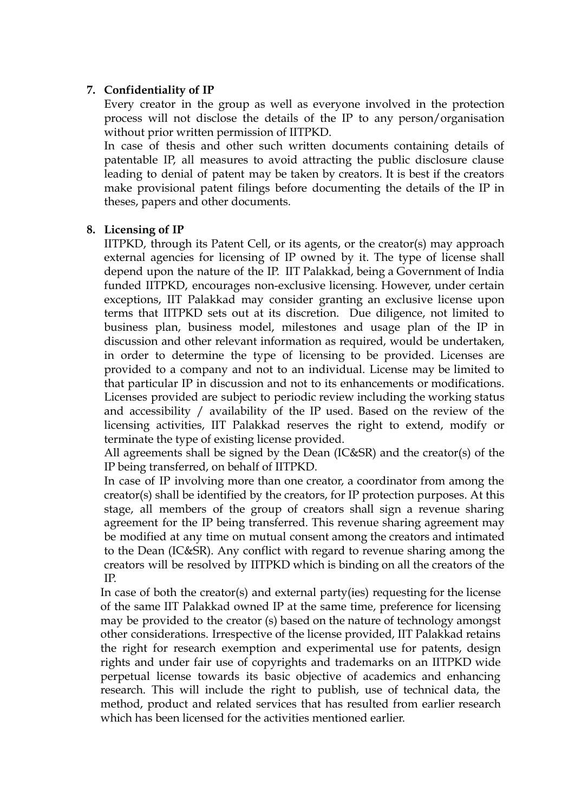## **7. Confidentiality of IP**

Every creator in the group as well as everyone involved in the protection process will not disclose the details of the IP to any person/organisation without prior written permission of IITPKD.

In case of thesis and other such written documents containing details of patentable IP, all measures to avoid attracting the public disclosure clause leading to denial of patent may be taken by creators. It is best if the creators make provisional patent filings before documenting the details of the IP in theses, papers and other documents.

## **8. Licensing of IP**

IITPKD, through its Patent Cell, or its agents, or the creator(s) may approach external agencies for licensing of IP owned by it. The type of license shall depend upon the nature of the IP. IIT Palakkad, being a Government of India funded IITPKD, encourages non-exclusive licensing. However, under certain exceptions, IIT Palakkad may consider granting an exclusive license upon terms that IITPKD sets out at its discretion. Due diligence, not limited to business plan, business model, milestones and usage plan of the IP in discussion and other relevant information as required, would be undertaken, in order to determine the type of licensing to be provided. Licenses are provided to a company and not to an individual. License may be limited to that particular IP in discussion and not to its enhancements or modifications. Licenses provided are subject to periodic review including the working status and accessibility / availability of the IP used. Based on the review of the licensing activities, IIT Palakkad reserves the right to extend, modify or terminate the type of existing license provided.

All agreements shall be signed by the Dean (IC&SR) and the creator(s) of the IP being transferred, on behalf of IITPKD.

In case of IP involving more than one creator, a coordinator from among the creator(s) shall be identified by the creators, for IP protection purposes. At this stage, all members of the group of creators shall sign a revenue sharing agreement for the IP being transferred. This revenue sharing agreement may be modified at any time on mutual consent among the creators and intimated to the Dean (IC&SR). Any conflict with regard to revenue sharing among the creators will be resolved by IITPKD which is binding on all the creators of the IP.

In case of both the creator(s) and external party(ies) requesting for the license of the same IIT Palakkad owned IP at the same time, preference for licensing may be provided to the creator (s) based on the nature of technology amongst other considerations. Irrespective of the license provided, IIT Palakkad retains the right for research exemption and experimental use for patents, design rights and under fair use of copyrights and trademarks on an IITPKD wide perpetual license towards its basic objective of academics and enhancing research. This will include the right to publish, use of technical data, the method, product and related services that has resulted from earlier research which has been licensed for the activities mentioned earlier.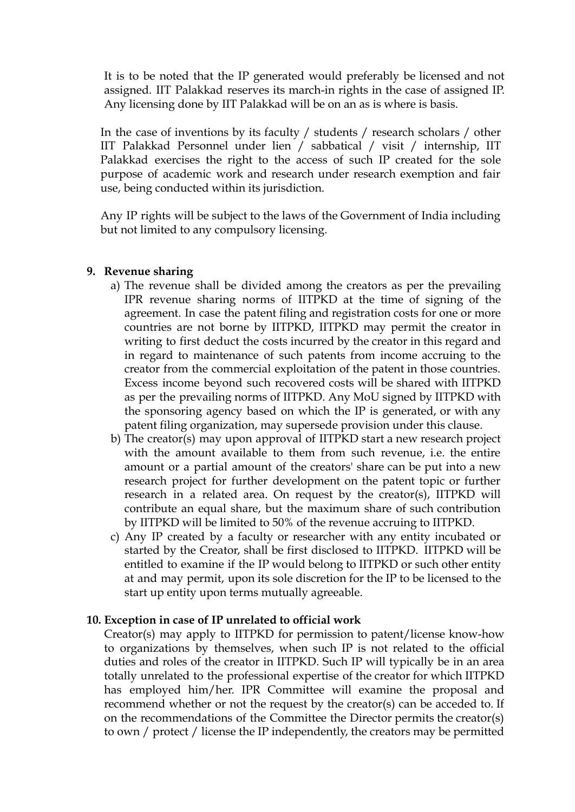It is to be noted that the IP generated would preferably be licensed and not assigned. IIT Palakkad reserves its march-in rights in the case of assigned IP. Any licensing done by IIT Palakkad will be on an as is where is basis.

In the case of inventions by its faculty / students / research scholars / other IIT Palakkad Personnel under lien / sabbatical / visit / internship, IIT Palakkad exercises the right to the access of such IP created for the sole purpose of academic work and research under research exemption and fair use, being conducted within its jurisdiction.

Any IP rights will be subject to the laws of the Government of India including but not limited to any compulsory licensing.

#### **9. Revenue sharing**

- a) The revenue shall be divided among the creators as per the prevailing IPR revenue sharing norms of IITPKD at the time of signing of the agreement. In case the patent filing and registration costs for one or more countries are not borne by IITPKD, IITPKD may permit the creator in writing to first deduct the costs incurred by the creator in this regard and in regard to maintenance of such patents from income accruing to the creator from the commercial exploitation of the patent in those countries. Excess income beyond such recovered costs will be shared with IITPKD as per the prevailing norms of IITPKD. Any MoU signed by IITPKD with the sponsoring agency based on which the IP is generated, or with any patent filing organization, may supersede provision under this clause.
- b) The creator(s) may upon approval of IITPKD start a new research project with the amount available to them from such revenue, i.e. the entire amount or a partial amount of the creators' share can be put into a new research project for further development on the patent topic or further research in a related area. On request by the creator(s), IITPKD will contribute an equal share, but the maximum share of such contribution by IITPKD will be limited to 50% of the revenue accruing to IITPKD.
- c) Any IP created by a faculty or researcher with any entity incubated or started by the Creator, shall be first disclosed to IITPKD. IITPKD will be entitled to examine if the IP would belong to IITPKD or such other entity at and may permit, upon its sole discretion for the IP to be licensed to the start up entity upon terms mutually agreeable.

#### **10. Exception in case of IP unrelated to official work**

Creator(s) may apply to IITPKD for permission to patent/license know-how to organizations by themselves, when such IP is not related to the official duties and roles of the creator in IITPKD. Such IP will typically be in an area totally unrelated to the professional expertise of the creator for which IITPKD has employed him/her. IPR Committee will examine the proposal and recommend whether or not the request by the creator(s) can be acceded to. If on the recommendations of the Committee the Director permits the creator(s) to own / protect / license the IP independently, the creators may be permitted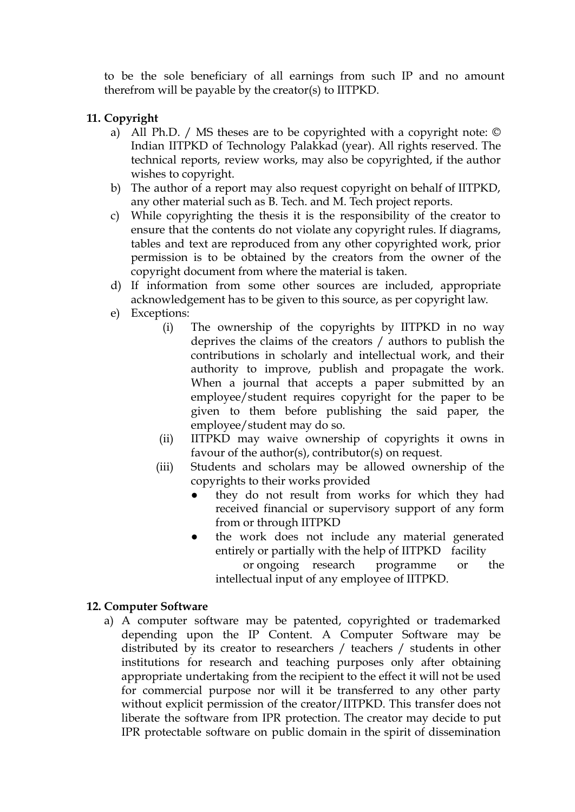to be the sole beneficiary of all earnings from such IP and no amount therefrom will be payable by the creator(s) to IITPKD.

# **11. Copyright**

- a) All Ph.D. / MS theses are to be copyrighted with a copyright note: © Indian IITPKD of Technology Palakkad (year). All rights reserved. The technical reports, review works, may also be copyrighted, if the author wishes to copyright.
- b) The author of a report may also request copyright on behalf of IITPKD, any other material such as B. Tech. and M. Tech project reports.
- c) While copyrighting the thesis it is the responsibility of the creator to ensure that the contents do not violate any copyright rules. If diagrams, tables and text are reproduced from any other copyrighted work, prior permission is to be obtained by the creators from the owner of the copyright document from where the material is taken.
- d) If information from some other sources are included, appropriate acknowledgement has to be given to this source, as per copyright law.
- e) Exceptions:
	- (i) The ownership of the copyrights by IITPKD in no way deprives the claims of the creators / authors to publish the contributions in scholarly and intellectual work, and their authority to improve, publish and propagate the work. When a journal that accepts a paper submitted by an employee/student requires copyright for the paper to be given to them before publishing the said paper, the employee/student may do so.
	- (ii) IITPKD may waive ownership of copyrights it owns in favour of the author(s), contributor(s) on request.
	- (iii) Students and scholars may be allowed ownership of the copyrights to their works provided
		- they do not result from works for which they had received financial or supervisory support of any form from or through IITPKD
		- the work does not include any material generated entirely or partially with the help of IITPKD facility or ongoing research programme or the intellectual input of any employee of IITPKD.

## **12. Computer Software**

a) A computer software may be patented, copyrighted or trademarked depending upon the IP Content. A Computer Software may be distributed by its creator to researchers / teachers / students in other institutions for research and teaching purposes only after obtaining appropriate undertaking from the recipient to the effect it will not be used for commercial purpose nor will it be transferred to any other party without explicit permission of the creator/IITPKD. This transfer does not liberate the software from IPR protection. The creator may decide to put IPR protectable software on public domain in the spirit of dissemination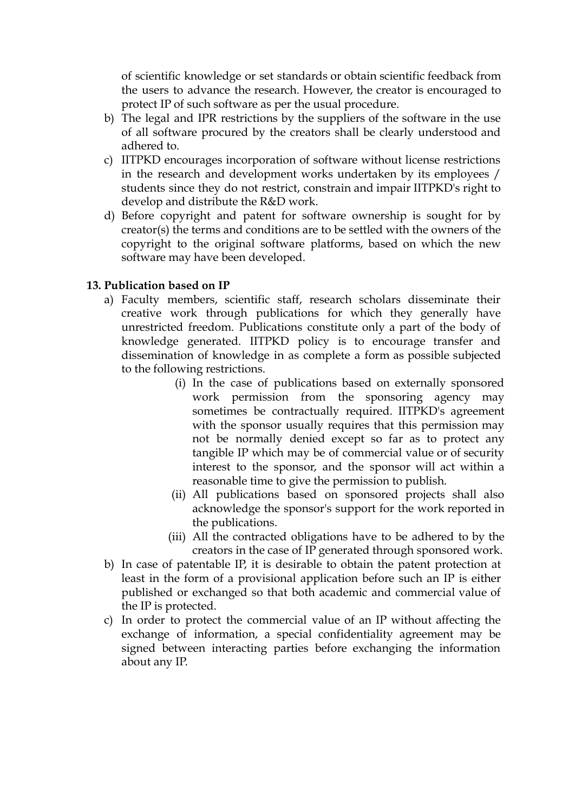of scientific knowledge or set standards or obtain scientific feedback from the users to advance the research. However, the creator is encouraged to protect IP of such software as per the usual procedure.

- b) The legal and IPR restrictions by the suppliers of the software in the use of all software procured by the creators shall be clearly understood and adhered to.
- c) IITPKD encourages incorporation of software without license restrictions in the research and development works undertaken by its employees / students since they do not restrict, constrain and impair IITPKD's right to develop and distribute the R&D work.
- d) Before copyright and patent for software ownership is sought for by creator(s) the terms and conditions are to be settled with the owners of the copyright to the original software platforms, based on which the new software may have been developed.

## **13. Publication based on IP**

- a) Faculty members, scientific staff, research scholars disseminate their creative work through publications for which they generally have unrestricted freedom. Publications constitute only a part of the body of knowledge generated. IITPKD policy is to encourage transfer and dissemination of knowledge in as complete a form as possible subjected to the following restrictions.
	- (i) In the case of publications based on externally sponsored work permission from the sponsoring agency may sometimes be contractually required. IITPKD's agreement with the sponsor usually requires that this permission may not be normally denied except so far as to protect any tangible IP which may be of commercial value or of security interest to the sponsor, and the sponsor will act within a reasonable time to give the permission to publish.
	- (ii) All publications based on sponsored projects shall also acknowledge the sponsor's support for the work reported in the publications.
	- (iii) All the contracted obligations have to be adhered to by the creators in the case of IP generated through sponsored work.
- b) In case of patentable IP, it is desirable to obtain the patent protection at least in the form of a provisional application before such an IP is either published or exchanged so that both academic and commercial value of the IP is protected.
- c) In order to protect the commercial value of an IP without affecting the exchange of information, a special confidentiality agreement may be signed between interacting parties before exchanging the information about any IP.